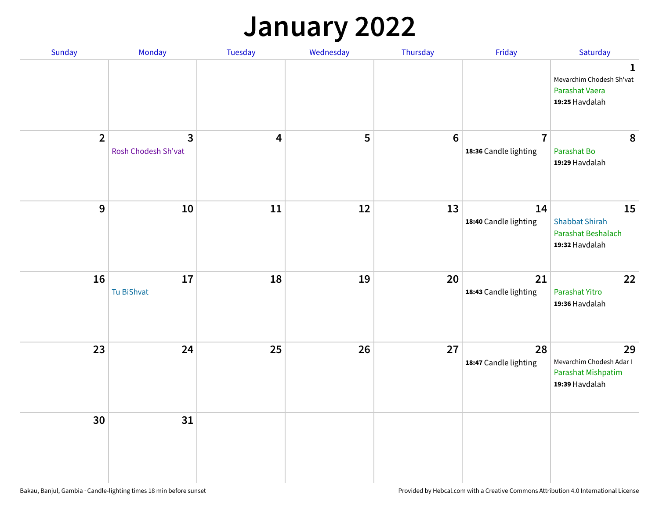## **January 2022**

| Sunday         | Monday                   | Tuesday                 | Wednesday | Thursday         | Friday                                  | Saturday                                                                     |
|----------------|--------------------------|-------------------------|-----------|------------------|-----------------------------------------|------------------------------------------------------------------------------|
|                |                          |                         |           |                  |                                         | $\mathbf{1}$<br>Mevarchim Chodesh Sh'vat<br>Parashat Vaera<br>19:25 Havdalah |
| $\overline{2}$ | 3<br>Rosh Chodesh Sh'vat | $\overline{\mathbf{4}}$ | 5         | $\boldsymbol{6}$ | $\overline{7}$<br>18:36 Candle lighting | 8<br>Parashat Bo<br>19:29 Havdalah                                           |
| $\mathbf{9}$   | 10                       | ${\bf 11}$              | 12        | 13               | 14<br>18:40 Candle lighting             | 15<br><b>Shabbat Shirah</b><br>Parashat Beshalach<br>19:32 Havdalah          |
| 16             | 17<br>Tu BiShvat         | 18                      | 19        | 20               | 21<br>18:43 Candle lighting             | 22<br>Parashat Yitro<br>19:36 Havdalah                                       |
| 23             | 24                       | 25                      | 26        | 27               | 28<br>18:47 Candle lighting             | 29<br>Mevarchim Chodesh Adar I<br>Parashat Mishpatim<br>19:39 Havdalah       |
| 30             | 31                       |                         |           |                  |                                         |                                                                              |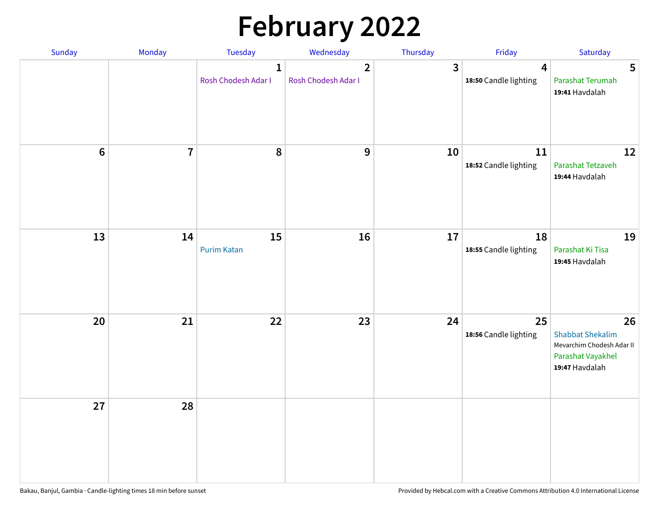# **February 2022**

| Sunday | Monday                  | <b>Tuesday</b>                      | Wednesday                             | Thursday | Friday                                           | Saturday                                                                                          |
|--------|-------------------------|-------------------------------------|---------------------------------------|----------|--------------------------------------------------|---------------------------------------------------------------------------------------------------|
|        |                         | $\mathbf{1}$<br>Rosh Chodesh Adar I | $\overline{2}$<br>Rosh Chodesh Adar I | 3        | $\overline{\mathbf{4}}$<br>18:50 Candle lighting | 5<br>Parashat Terumah<br>19:41 Havdalah                                                           |
| $6\,$  | $\overline{\mathbf{7}}$ | 8                                   | $\boldsymbol{9}$                      | 10       | 11<br>18:52 Candle lighting                      | 12<br>Parashat Tetzaveh<br>19:44 Havdalah                                                         |
| 13     | 14                      | 15<br><b>Purim Katan</b>            | 16                                    | 17       | 18<br>18:55 Candle lighting                      | 19<br>Parashat Ki Tisa<br>19:45 Havdalah                                                          |
| 20     | 21                      | 22                                  | 23                                    | 24       | 25<br>18:56 Candle lighting                      | 26<br><b>Shabbat Shekalim</b><br>Mevarchim Chodesh Adar II<br>Parashat Vayakhel<br>19:47 Havdalah |
| 27     | 28                      |                                     |                                       |          |                                                  |                                                                                                   |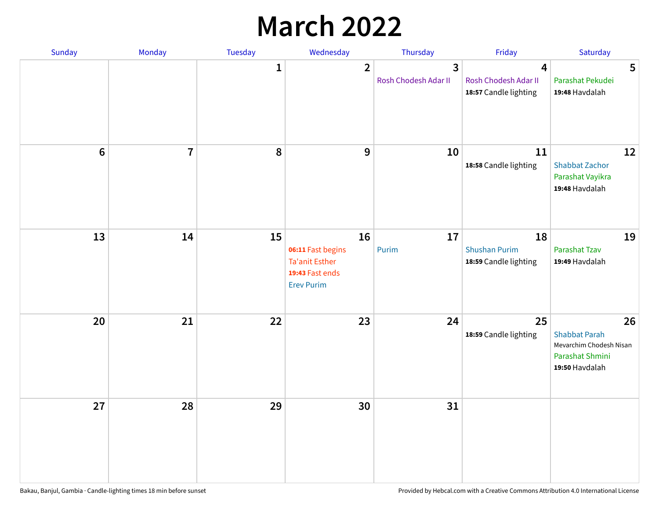## **March 2022**

| Sunday | Monday         | <b>Tuesday</b> | Wednesday                                                                         | Thursday                  | Friday                                                                   | Saturday                                                                                   |
|--------|----------------|----------------|-----------------------------------------------------------------------------------|---------------------------|--------------------------------------------------------------------------|--------------------------------------------------------------------------------------------|
|        |                | $\mathbf{1}$   | $\overline{2}$                                                                    | 3<br>Rosh Chodesh Adar II | $\overline{\mathbf{4}}$<br>Rosh Chodesh Adar II<br>18:57 Candle lighting | 5<br>Parashat Pekudei<br>19:48 Havdalah                                                    |
| $6\,$  | $\overline{7}$ | 8              | 9                                                                                 | 10                        | 11<br>18:58 Candle lighting                                              | 12<br><b>Shabbat Zachor</b><br>Parashat Vayikra<br>19:48 Havdalah                          |
| 13     | 14             | 15             | 16<br>06:11 Fast begins<br>Ta'anit Esther<br>19:43 Fast ends<br><b>Erev Purim</b> | 17<br>Purim               | 18<br><b>Shushan Purim</b><br>18:59 Candle lighting                      | 19<br>Parashat Tzav<br>19:49 Havdalah                                                      |
| 20     | 21             | 22             | 23                                                                                | 24                        | 25<br>18:59 Candle lighting                                              | 26<br><b>Shabbat Parah</b><br>Mevarchim Chodesh Nisan<br>Parashat Shmini<br>19:50 Havdalah |
| 27     | 28             | 29             | 30                                                                                | 31                        |                                                                          |                                                                                            |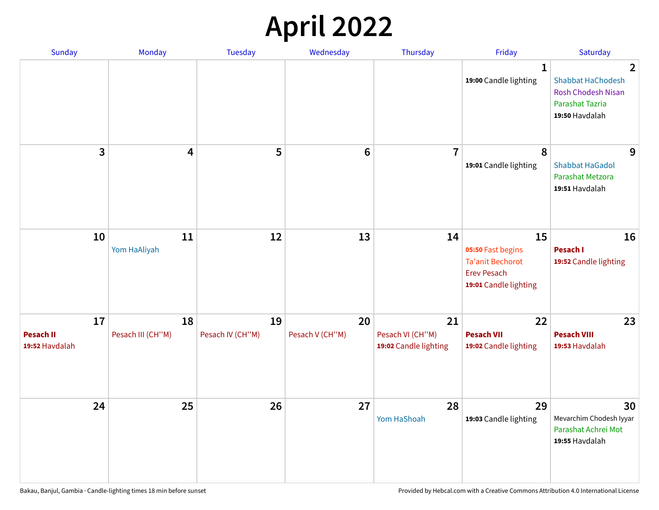## **April 2022**

| Sunday                                   | Monday                  | <b>Tuesday</b>         | Wednesday             | Thursday                                        | Friday                                                                                            | Saturday                                                                                                            |
|------------------------------------------|-------------------------|------------------------|-----------------------|-------------------------------------------------|---------------------------------------------------------------------------------------------------|---------------------------------------------------------------------------------------------------------------------|
|                                          |                         |                        |                       |                                                 | 1<br>19:00 Candle lighting                                                                        | $\overline{2}$<br><b>Shabbat HaChodesh</b><br><b>Rosh Chodesh Nisan</b><br><b>Parashat Tazria</b><br>19:50 Havdalah |
| 3                                        | $\overline{\mathbf{4}}$ | 5                      | $6\phantom{1}6$       | $\overline{7}$                                  | 8<br>19:01 Candle lighting                                                                        | 9<br><b>Shabbat HaGadol</b><br>Parashat Metzora<br>19:51 Havdalah                                                   |
| 10                                       | 11<br>Yom HaAliyah      | 12                     | 13                    | 14                                              | 15<br>05:50 Fast begins<br><b>Ta'anit Bechorot</b><br><b>Erev Pesach</b><br>19:01 Candle lighting | 16<br>Pesach I<br>19:52 Candle lighting                                                                             |
| 17<br><b>Pesach II</b><br>19:52 Havdalah | 18<br>Pesach III (CH"M) | 19<br>Pesach IV (CH"M) | 20<br>Pesach V (CH"M) | 21<br>Pesach VI (CH"M)<br>19:02 Candle lighting | 22<br><b>Pesach VII</b><br>19:02 Candle lighting                                                  | 23<br><b>Pesach VIII</b><br>19:53 Havdalah                                                                          |
| 24                                       | 25                      | 26                     | 27                    | 28<br>Yom HaShoah                               | 29<br>19:03 Candle lighting                                                                       | 30<br>Mevarchim Chodesh Iyyar<br>Parashat Achrei Mot<br>19:55 Havdalah                                              |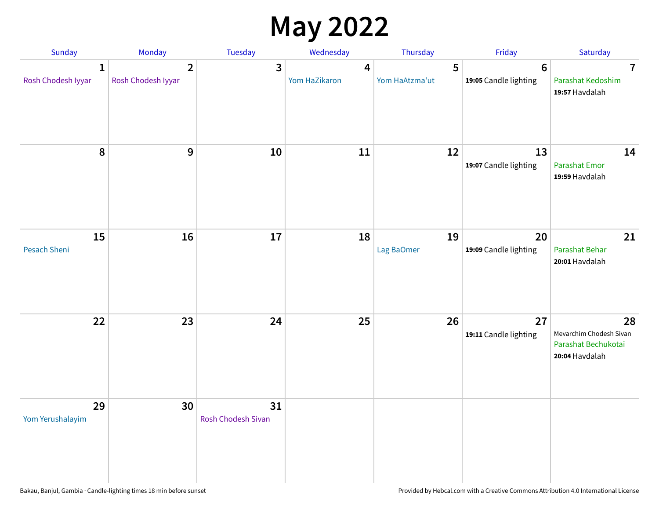## **May 2022**

| Sunday                             | Monday                               | Tuesday                         | Wednesday                         | Thursday            | Friday                                  | Saturday                                                               |
|------------------------------------|--------------------------------------|---------------------------------|-----------------------------------|---------------------|-----------------------------------------|------------------------------------------------------------------------|
| $\mathbf{1}$<br>Rosh Chodesh Iyyar | $\overline{2}$<br>Rosh Chodesh Iyyar | 3                               | $\boldsymbol{4}$<br>Yom HaZikaron | 5<br>Yom HaAtzma'ut | $6\phantom{1}$<br>19:05 Candle lighting | $\overline{7}$<br>Parashat Kedoshim<br>19:57 Havdalah                  |
| 8                                  | 9                                    | 10                              | 11                                | 12                  | 13<br>19:07 Candle lighting             | 14<br><b>Parashat Emor</b><br>19:59 Havdalah                           |
| 15<br>Pesach Sheni                 | 16                                   | 17                              | 18                                | 19<br>Lag BaOmer    | 20<br>19:09 Candle lighting             | 21<br>Parashat Behar<br>20:01 Havdalah                                 |
| 22                                 | 23                                   | 24                              | 25                                | 26                  | 27<br>19:11 Candle lighting             | 28<br>Mevarchim Chodesh Sivan<br>Parashat Bechukotai<br>20:04 Havdalah |
| 29<br>Yom Yerushalayim             | 30                                   | 31<br><b>Rosh Chodesh Sivan</b> |                                   |                     |                                         |                                                                        |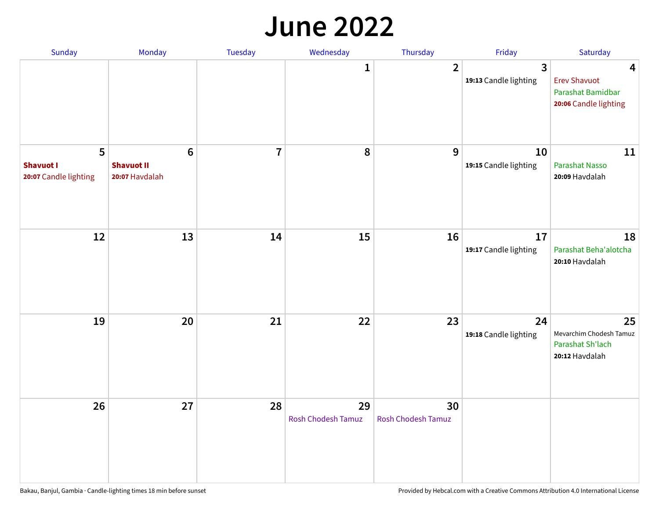#### **June 2022**

| Sunday                                         | Monday                                                 | <b>Tuesday</b> | Wednesday                       | Thursday                        | Friday                      | Saturday                                                               |
|------------------------------------------------|--------------------------------------------------------|----------------|---------------------------------|---------------------------------|-----------------------------|------------------------------------------------------------------------|
|                                                |                                                        |                | $\mathbf{1}$                    | $\overline{2}$                  | 3<br>19:13 Candle lighting  | 4<br><b>Erev Shavuot</b><br>Parashat Bamidbar<br>20:06 Candle lighting |
| 5<br><b>Shavuot I</b><br>20:07 Candle lighting | $6\phantom{1}6$<br><b>Shavuot II</b><br>20:07 Havdalah | $\overline{7}$ | 8                               | 9                               | 10<br>19:15 Candle lighting | 11<br>Parashat Nasso<br>20:09 Havdalah                                 |
| 12                                             | 13                                                     | 14             | 15                              | 16                              | 17<br>19:17 Candle lighting | 18<br>Parashat Beha'alotcha<br>20:10 Havdalah                          |
| 19                                             | 20                                                     | 21             | 22                              | 23                              | 24<br>19:18 Candle lighting | 25<br>Mevarchim Chodesh Tamuz<br>Parashat Sh'lach<br>20:12 Havdalah    |
| 26                                             | 27                                                     | 28             | 29<br><b>Rosh Chodesh Tamuz</b> | 30<br><b>Rosh Chodesh Tamuz</b> |                             |                                                                        |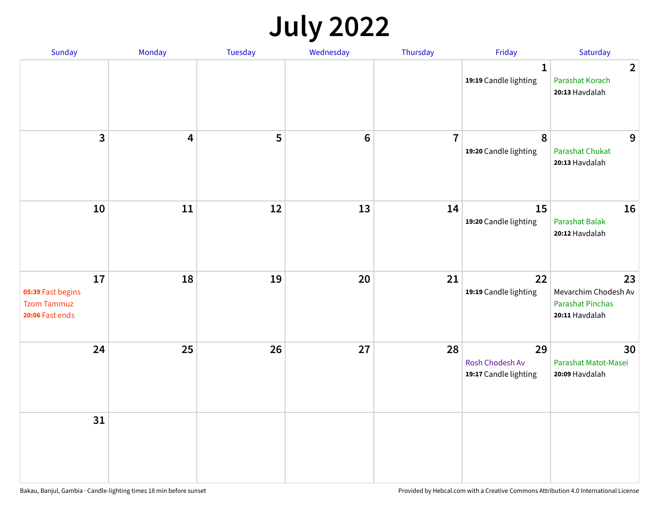## **July 2022**

| Sunday                                                           | Monday     | Tuesday | Wednesday | Thursday       | Friday                                                | Saturday                                                                |
|------------------------------------------------------------------|------------|---------|-----------|----------------|-------------------------------------------------------|-------------------------------------------------------------------------|
|                                                                  |            |         |           |                | $\mathbf{1}$<br>19:19 Candle lighting                 | $\overline{2}$<br>Parashat Korach<br>20:13 Havdalah                     |
| $\mathbf{3}$                                                     | 4          | 5       | $\bf 6$   | $\overline{7}$ | 8<br>19:20 Candle lighting                            | 9<br><b>Parashat Chukat</b><br>20:13 Havdalah                           |
| 10                                                               | ${\bf 11}$ | 12      | 13        | 14             | 15<br>19:20 Candle lighting                           | 16<br><b>Parashat Balak</b><br>20:12 Havdalah                           |
| 17<br>05:39 Fast begins<br><b>Tzom Tammuz</b><br>20:06 Fast ends | 18         | 19      | 20        | 21             | 22<br>19:19 Candle lighting                           | 23<br>Mevarchim Chodesh Av<br><b>Parashat Pinchas</b><br>20:11 Havdalah |
| 24                                                               | 25         | 26      | 27        | 28             | 29<br><b>Rosh Chodesh Av</b><br>19:17 Candle lighting | 30<br>Parashat Matot-Masei<br>20:09 Havdalah                            |
| 31                                                               |            |         |           |                |                                                       |                                                                         |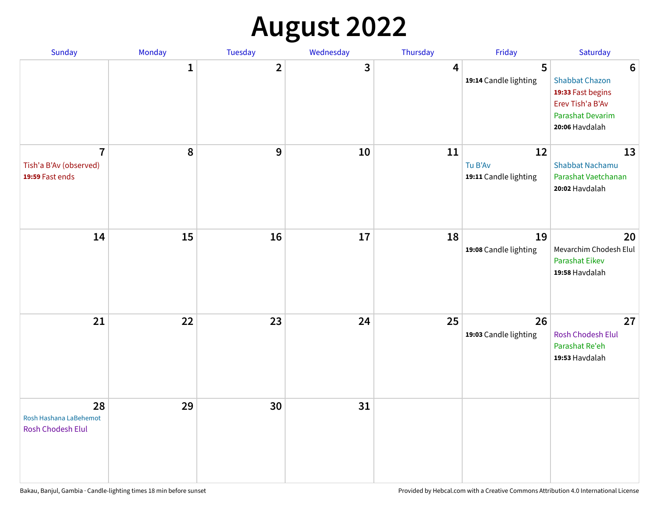## **August 2022**

| Sunday                                                      | Monday       | Tuesday                 | Wednesday | Thursday | Friday                                 | Saturday                                                                                                                       |
|-------------------------------------------------------------|--------------|-------------------------|-----------|----------|----------------------------------------|--------------------------------------------------------------------------------------------------------------------------------|
|                                                             | $\mathbf{1}$ | $\overline{\mathbf{2}}$ | 3         | 4        | 5<br>19:14 Candle lighting             | $6\phantom{1}6$<br><b>Shabbat Chazon</b><br>19:33 Fast begins<br>Erev Tish'a B'Av<br><b>Parashat Devarim</b><br>20:06 Havdalah |
| $\overline{7}$<br>Tish'a B'Av (observed)<br>19:59 Fast ends | 8            | 9                       | 10        | 11       | 12<br>Tu B'Av<br>19:11 Candle lighting | 13<br><b>Shabbat Nachamu</b><br>Parashat Vaetchanan<br>20:02 Havdalah                                                          |
| 14                                                          | 15           | 16                      | 17        | 18       | 19<br>19:08 Candle lighting            | 20<br>Mevarchim Chodesh Elul<br><b>Parashat Eikev</b><br>19:58 Havdalah                                                        |
| 21                                                          | 22           | 23                      | 24        | 25       | 26<br>19:03 Candle lighting            | 27<br><b>Rosh Chodesh Elul</b><br>Parashat Re'eh<br>19:53 Havdalah                                                             |
| 28<br>Rosh Hashana LaBehemot<br><b>Rosh Chodesh Elul</b>    | 29           | 30                      | 31        |          |                                        |                                                                                                                                |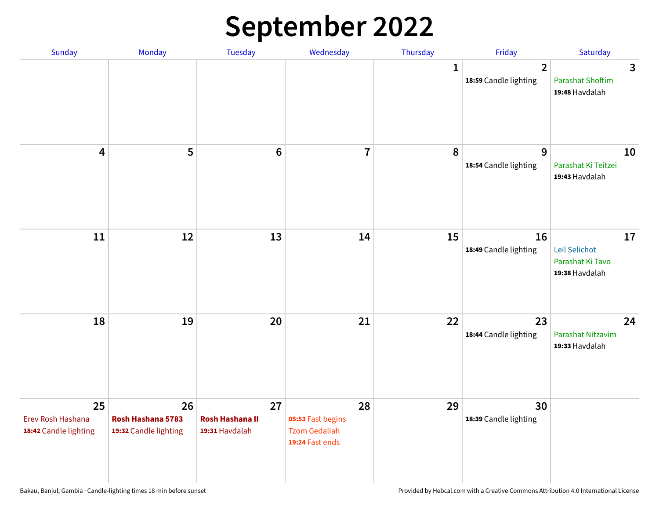## **September 2022**

| Sunday                                           | Monday                                           | Tuesday                                        | Wednesday                                                          | Thursday     | Friday                                  | Saturday                                                  |
|--------------------------------------------------|--------------------------------------------------|------------------------------------------------|--------------------------------------------------------------------|--------------|-----------------------------------------|-----------------------------------------------------------|
|                                                  |                                                  |                                                |                                                                    | $\mathbf{1}$ | $\overline{2}$<br>18:59 Candle lighting | 3<br><b>Parashat Shoftim</b><br>19:48 Havdalah            |
| $\overline{\mathbf{4}}$                          | 5                                                | $6\phantom{1}6$                                | $\overline{7}$                                                     | 8            | $\overline{9}$<br>18:54 Candle lighting | 10<br>Parashat Ki Teitzei<br>19:43 Havdalah               |
| 11                                               | 12                                               | 13                                             | 14                                                                 | 15           | 16<br>18:49 Candle lighting             | 17<br>Leil Selichot<br>Parashat Ki Tavo<br>19:38 Havdalah |
| 18                                               | 19                                               | 20                                             | 21                                                                 | 22           | 23<br>18:44 Candle lighting             | 24<br>Parashat Nitzavim<br>19:33 Havdalah                 |
| 25<br>Erev Rosh Hashana<br>18:42 Candle lighting | 26<br>Rosh Hashana 5783<br>19:32 Candle lighting | 27<br><b>Rosh Hashana II</b><br>19:31 Havdalah | 28<br>05:53 Fast begins<br><b>Tzom Gedaliah</b><br>19:24 Fast ends | 29           | 30<br>18:39 Candle lighting             |                                                           |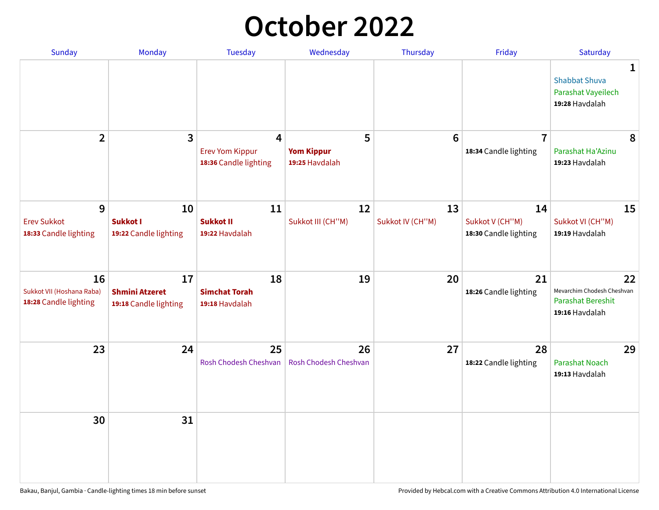## **October 2022**

| Sunday                                                   | <b>Monday</b>                                        | <b>Tuesday</b>                                                    | Wednesday                                | Thursday               | Friday                                         | Saturday                                                                |
|----------------------------------------------------------|------------------------------------------------------|-------------------------------------------------------------------|------------------------------------------|------------------------|------------------------------------------------|-------------------------------------------------------------------------|
|                                                          |                                                      |                                                                   |                                          |                        |                                                | 1<br><b>Shabbat Shuva</b><br>Parashat Vayeilech<br>19:28 Havdalah       |
| $\overline{2}$                                           | $\overline{\mathbf{3}}$                              | $\overline{4}$<br><b>Erev Yom Kippur</b><br>18:36 Candle lighting | 5<br><b>Yom Kippur</b><br>19:25 Havdalah | 6                      | $\overline{7}$<br>18:34 Candle lighting        | 8<br>Parashat Ha'Azinu<br>19:23 Havdalah                                |
| 9<br><b>Erev Sukkot</b><br>18:33 Candle lighting         | 10<br><b>Sukkot I</b><br>19:22 Candle lighting       | 11<br><b>Sukkot II</b><br>19:22 Havdalah                          | 12<br>Sukkot III (CH"M)                  | 13<br>Sukkot IV (CH"M) | 14<br>Sukkot V (CH"M)<br>18:30 Candle lighting | 15<br>Sukkot VI (CH"M)<br>19:19 Havdalah                                |
| 16<br>Sukkot VII (Hoshana Raba)<br>18:28 Candle lighting | 17<br><b>Shmini Atzeret</b><br>19:18 Candle lighting | 18<br><b>Simchat Torah</b><br>19:18 Havdalah                      | 19                                       | 20                     | 21<br>18:26 Candle lighting                    | 22<br>Mevarchim Chodesh Cheshvan<br>Parashat Bereshit<br>19:16 Havdalah |
| 23                                                       | 24                                                   | 25<br>Rosh Chodesh Cheshvan                                       | 26<br>Rosh Chodesh Cheshvan              | 27                     | 28<br>18:22 Candle lighting                    | 29<br><b>Parashat Noach</b><br>19:13 Havdalah                           |
| 30                                                       | 31                                                   |                                                                   |                                          |                        |                                                |                                                                         |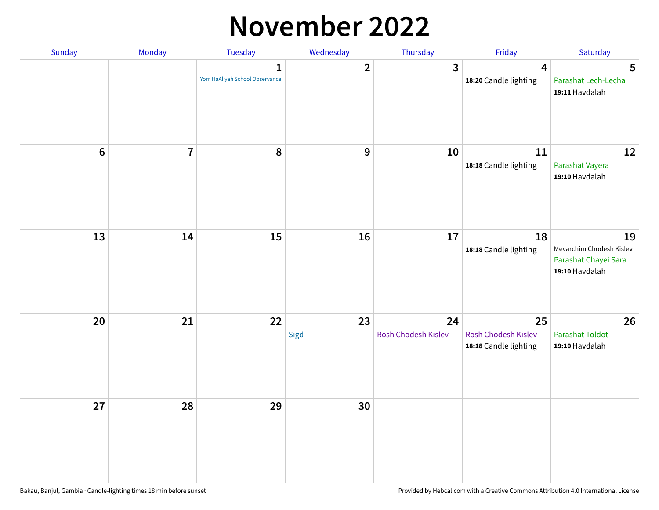### **November 2022**

| Sunday  | Monday         | <b>Tuesday</b>                                 | Wednesday        | Thursday                  | Friday                                             | Saturday                                                                 |
|---------|----------------|------------------------------------------------|------------------|---------------------------|----------------------------------------------------|--------------------------------------------------------------------------|
|         |                | $\mathbf{1}$<br>Yom HaAliyah School Observance | $\overline{2}$   | $\mathbf{3}$              | $\overline{\mathbf{4}}$<br>18:20 Candle lighting   | 5<br>Parashat Lech-Lecha<br>19:11 Havdalah                               |
| $\bf 6$ | $\overline{7}$ | 8                                              | $\boldsymbol{9}$ | 10                        | 11<br>18:18 Candle lighting                        | 12<br>Parashat Vayera<br>19:10 Havdalah                                  |
| 13      | 14             | 15                                             | 16               | 17                        | 18<br>18:18 Candle lighting                        | 19<br>Mevarchim Chodesh Kislev<br>Parashat Chayei Sara<br>19:10 Havdalah |
| 20      | 21             | 22                                             | 23<br>Sigd       | 24<br>Rosh Chodesh Kislev | 25<br>Rosh Chodesh Kislev<br>18:18 Candle lighting | 26<br><b>Parashat Toldot</b><br>19:10 Havdalah                           |
| 27      | 28             | 29                                             | 30               |                           |                                                    |                                                                          |